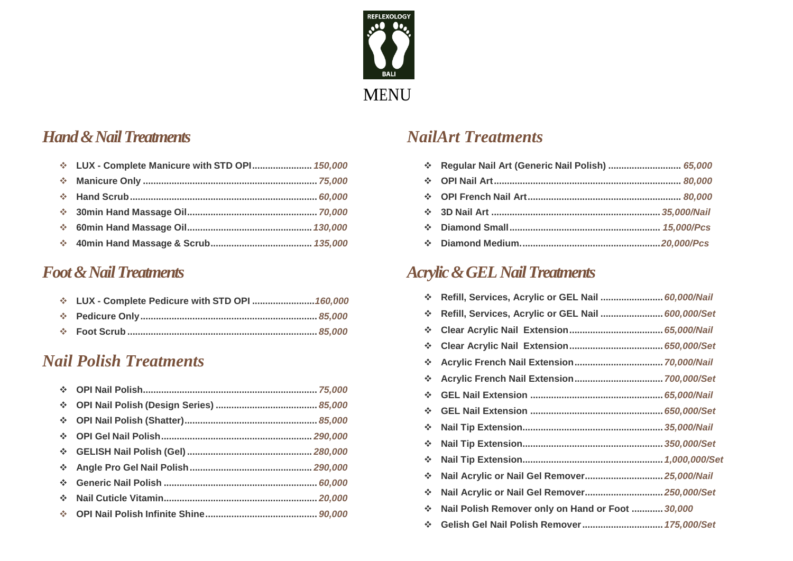

#### **Hand & Nail Treatments**

| ❖ LUX - Complete Manicure with STD OPI 150,000 |  |
|------------------------------------------------|--|
|                                                |  |
|                                                |  |
|                                                |  |
|                                                |  |
|                                                |  |
|                                                |  |

## *Foot & Nail Treatments*

| V LUX - Complete Pedicure with STD OPI  160,000 |  |
|-------------------------------------------------|--|
|                                                 |  |
|                                                 |  |

#### *Nail Polish Treatments*

## *NailArt Treatments*

| * Regular Nail Art (Generic Nail Polish)  65,000 |  |
|--------------------------------------------------|--|
|                                                  |  |
|                                                  |  |
|                                                  |  |
|                                                  |  |
|                                                  |  |

## *Acrylic &GEL Nail Treatments*

| $\mathcal{L}_{\mathcal{A}}$                          | Refill, Services, Acrylic or GEL Nail  60,000/Nail |
|------------------------------------------------------|----------------------------------------------------|
| $\frac{1}{2}$                                        | Refill, Services, Acrylic or GEL Nail  600,000/Set |
| $\frac{1}{2}$                                        |                                                    |
| $\frac{1}{2}$                                        |                                                    |
| $\frac{1}{2}$                                        |                                                    |
| $\frac{1}{2}$                                        |                                                    |
| 榛                                                    |                                                    |
| $\mathcal{L}_{\mathbf{a}^{\mathbf{b}}}^{\mathbf{b}}$ |                                                    |
| $\sigma_{\rm eff}^{\rm th}$                          |                                                    |
| $\mathcal{L}_{\mathcal{C}}$                          |                                                    |
| $\sigma_{\rm eff}^{\rm th}$                          |                                                    |
| $\mathcal{L}_{\mathcal{S}}$                          | Nail Acrylic or Nail Gel Remover 25,000/Nail       |
| $\mathcal{L}_{\mathbf{a}}$                           | Nail Acrylic or Nail Gel Remover 250,000/Set       |
| $\mathcal{L}_{\mathcal{C}}$                          | Nail Polish Remover only on Hand or Foot  30,000   |
| $\sigma_{\rm eff}^{\rm th}$                          | Gelish Gel Nail Polish Remover 175,000/Set         |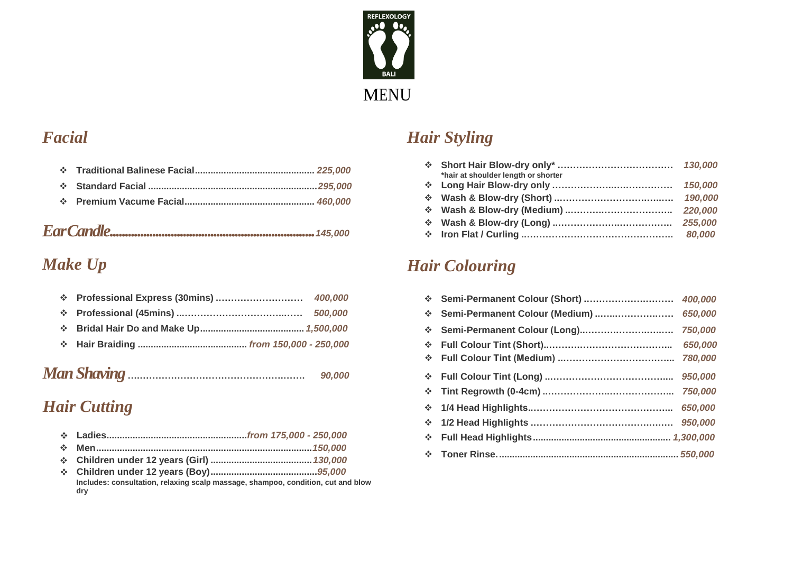

## *Facial*

|--|--|

# *Make Up*

|  |  |  | 90,000 |
|--|--|--|--------|
|--|--|--|--------|

## $Hair$  *Cutting*

|--|--|--|--|--|

- $\frac{1}{2}$ **Men...................................................................................***150,000*
- 
- **Children under 12 years (Boy).........................................***95,000* **Includes: consultation, relaxing scalp massage, shampoo, condition, cut and blow dry**

# *Hair Styling*

|                             | *hair at shoulder length or shorter |         |
|-----------------------------|-------------------------------------|---------|
|                             |                                     | 150,000 |
|                             |                                     | 190,000 |
|                             |                                     |         |
| $\mathcal{L}_{\mathcal{C}}$ |                                     |         |
|                             |                                     | 80,000  |
|                             |                                     |         |

## *Hair Colouring*

| 察 |                     |         | A.           | Semi-Permanent Colour (Short)  | 400,000 |
|---|---------------------|---------|--------------|--------------------------------|---------|
| 豪 |                     | 500,000 | <b>SALE</b>  | Semi-Permanent Colour (Medium) | 650,000 |
| 豪 |                     |         | A.           | Semi-Permanent Colour (Long)   | 750,000 |
| ÷ |                     |         | <b>SALE</b>  |                                | 650,000 |
|   |                     |         | <b>Allen</b> |                                | 780,000 |
|   |                     | 90,000  |              |                                | 950,000 |
|   |                     |         | A.           |                                |         |
|   | <b>Hair Cutting</b> |         | <b>AND</b>   |                                |         |
|   |                     |         | <b>AND</b>   |                                |         |
|   |                     |         | <b>AND</b>   |                                |         |
| 榛 |                     |         | <b>Allen</b> |                                |         |
|   |                     |         |              |                                |         |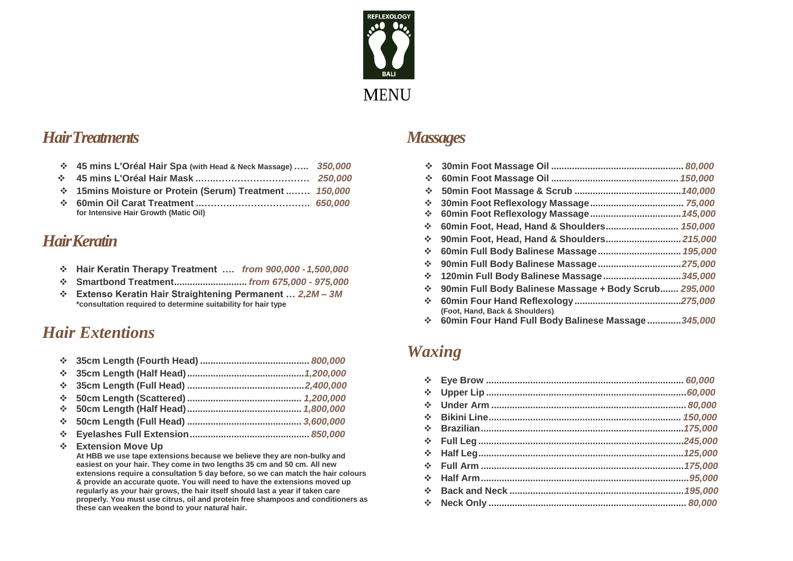

#### *HairTreatments Massages*

- $\div$  45 mins L'Oréal Hair Spa (with Head & Neck Massage) ...... 350,000
- **45 mins L'Oréal Hair Mask ..…..…………………………** *250,000* **60min Foot Massage Oil .................................................** *150,000*
- $\cdot$  **15mins Moisture or Protein (Serum) Treatment ......... 150,000**
- **60min Oil Carat Treatment ..……….……………………. for Intensive Hair Growth (Matic Oil)**

#### *HairKeratin*

- **Hair Keratin Therapy Treatment ….** *from 900,000 -1,500,000*
- **Smartbond Treatment............................** *from 675,000 - 975,000*
- **Extenso Keratin Hair Straightening Permanent …** *2,2M – 3M* **\*consultation required to determine suitability for hair type**

## *Hair Extentions*

| ÷           |                                                                                                                                                                                                                                                                                                                                                                                                                                    |  |  |  |
|-------------|------------------------------------------------------------------------------------------------------------------------------------------------------------------------------------------------------------------------------------------------------------------------------------------------------------------------------------------------------------------------------------------------------------------------------------|--|--|--|
| ÷.          |                                                                                                                                                                                                                                                                                                                                                                                                                                    |  |  |  |
| <b>SALE</b> |                                                                                                                                                                                                                                                                                                                                                                                                                                    |  |  |  |
| ÷.          |                                                                                                                                                                                                                                                                                                                                                                                                                                    |  |  |  |
| ÷.          |                                                                                                                                                                                                                                                                                                                                                                                                                                    |  |  |  |
| ÷           |                                                                                                                                                                                                                                                                                                                                                                                                                                    |  |  |  |
| <b>SALE</b> | <b>Extension Move Up</b><br>At HBB we use tape extensions because we believe they are non-bulky and<br>easiest on your hair. They come in two lengths 35 cm and 50 cm. All new<br>extensions require a consultation 5 day before, so we can match the hair colours<br>& provide an accurate quote. You will need to have the extensions moved up<br>regularly as your hair grows, the hair itself should last a year if taken care |  |  |  |

**these can weaken the bond to your natural hair.**

**properly. You must use citrus, oil and protein free shampoos and conditioners as** 

| 350,000 |                                                            |
|---------|------------------------------------------------------------|
| 250,000 | ÷                                                          |
| 150,000 | -⊱                                                         |
| 650,000 | ÷                                                          |
|         | -⊱                                                         |
|         | ❖                                                          |
|         | 90min Foot, Head, Hand & Shoulders 215,000<br>❖            |
|         | ❖                                                          |
| 500,000 | ❖                                                          |
| 975,000 | 120min Full Body Balinese Massage 345,000<br>❖             |
| Л — ЗМ  | 90min Full Body Balinese Massage + Body Scrub 295,000<br>❖ |
|         | ÷<br>(Foot, Hand, Back & Shoulders)                        |
|         | 60min Four Hand Full Body Balinese Massage345,000<br>❖     |

# *Waxing*

| ❖                           |  |
|-----------------------------|--|
| 榛                           |  |
| $\mathcal{L}_{\mathcal{A}}$ |  |
| $\mathcal{L}_{\mathcal{A}}$ |  |
| ÷                           |  |
| $\mathcal{L}_{\mathcal{L}}$ |  |
| $\mathcal{L}_{\mathbf{a}}$  |  |
| ÷                           |  |
| $\mathcal{L}_{\mathcal{A}}$ |  |
| $\mathcal{L}_{\mathcal{A}}$ |  |
| $\mathcal{L}_{\mathcal{A}}$ |  |